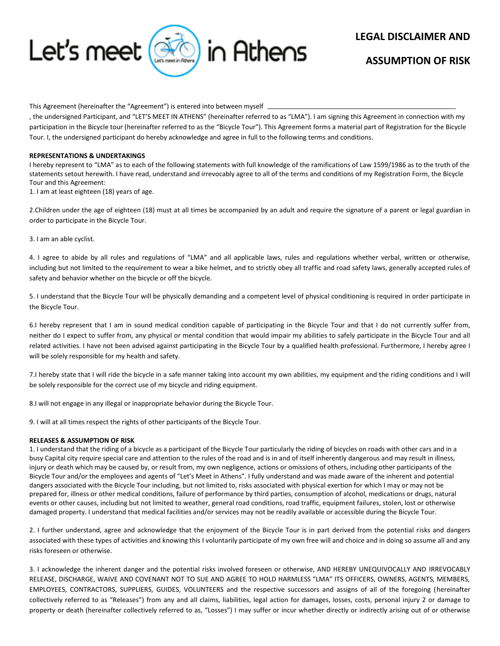

# **LEGAL DISCLAIMER AND**

# **ASSUMPTION OF RISK**

This Agreement (hereinafter the "Agreement") is entered into between myself.

, the undersigned Participant, and "LET'S MEET IN ATHENS" (hereinafter referred to as "LMA"). I am signing this Agreement in connection with my participation in the Bicycle tour (hereinafter referred to as the "Bicycle Tour"). This Agreement forms a material part of Registration for the Bicycle Tour. I, the undersigned participant do hereby acknowledge and agree in full to the following terms and conditions.

#### **REPRESENTATIONS & UNDERTAKINGS**

I hereby represent to "LMA" as to each of the following statements with full knowledge of the ramifications of Law 1599/1986 as to the truth of the statements setout herewith. I have read, understand and irrevocably agree to all of the terms and conditions of my Registration Form, the Bicycle Tour and this Agreement:

1. I am at least eighteen (18) years of age.

2.Children under the age of eighteen (18) must at all times be accompanied by an adult and require the signature of a parent or legal guardian in order to participate in the Bicycle Tour.

3. I am an able cyclist.

4. I agree to abide by all rules and regulations of "LMA" and all applicable laws, rules and regulations whether verbal, written or otherwise, including but not limited to the requirement to wear a bike helmet, and to strictly obey all traffic and road safety laws, generally accepted rules of safety and behavior whether on the bicycle or off the bicycle.

5. I understand that the Bicycle Tour will be physically demanding and a competent level of physical conditioning is required in order participate in the Bicycle Tour.

6.I hereby represent that I am in sound medical condition capable of participating in the Bicycle Tour and that I do not currently suffer from, neither do I expect to suffer from, any physical or mental condition that would impair my abilities to safely participate in the Bicycle Tour and all related activities. I have not been advised against participating in the Bicycle Tour by a qualified health professional. Furthermore, I hereby agree I will be solely responsible for my health and safety.

7.I hereby state that I will ride the bicycle in a safe manner taking into account my own abilities, my equipment and the riding conditions and I will be solely responsible for the correct use of my bicycle and riding equipment.

8.I will not engage in any illegal or inappropriate behavior during the Bicycle Tour.

9. I will at all times respect the rights of other participants of the Bicycle Tour.

# **RELEASES & ASSUMPTION OF RISK**

1. I understand that the riding of a bicycle as a participant of the Bicycle Tour particularly the riding of bicycles on roads with other cars and in a busy Capital city require special care and attention to the rules of the road and is in and of itself inherently dangerous and may result in illness, injury or death which may be caused by, or result from, my own negligence, actions or omissions of others, including other participants of the Bicycle Tour and/or the employees and agents of "Let's Meet in Athens". I fully understand and was made aware of the inherent and potential dangers associated with the Bicycle Tour including, but not limited to, risks associated with physical exertion for which I may or may not be prepared for, illness or other medical conditions, failure of performance by third parties, consumption of alcohol, medications or drugs, natural events or other causes, including but not limited to weather, general road conditions, road traffic, equipment failures, stolen, lost or otherwise damaged property. I understand that medical facilities and/or services may not be readily available or accessible during the Bicycle Tour.

2. I further understand, agree and acknowledge that the enjoyment of the Bicycle Tour is in part derived from the potential risks and dangers associated with these types of activities and knowing this I voluntarily participate of my own free will and choice and in doing so assume all and any risks foreseen or otherwise.

3. I acknowledge the inherent danger and the potential risks involved foreseen or otherwise, AND HEREBY UNEQUIVOCALLY AND IRREVOCABLY RELEASE, DISCHARGE, WAIVE AND COVENANT NOT TO SUE AND AGREE TO HOLD HARMLESS "LMA" ITS OFFICERS, OWNERS, AGENTS, MEMBERS, EMPLOYEES, CONTRACTORS, SUPPLIERS, GUIDES, VOLUNTEERS and the respective successors and assigns of all of the foregoing (hereinafter collectively referred to as "Releases") from any and all claims, liabilities, legal action for damages, losses, costs, personal injury 2 or damage to property or death (hereinafter collectively referred to as, "Losses") I may suffer or incur whether directly or indirectly arising out of or otherwise